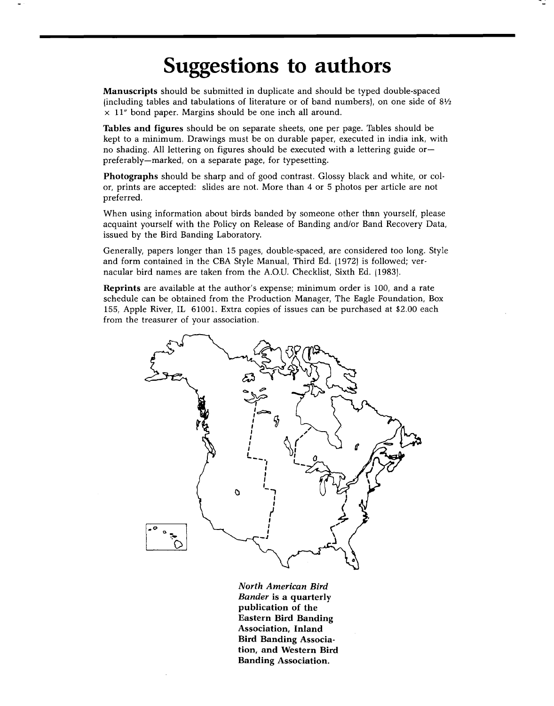## **Suggestions to authors**

**Manuscripts should be submitted in duplicate and should be typed double-spaced lincluding tables and tabulations of literature or of band numbers}, on one side of 81/2 x 11" bond paper. Margins should be one inch all around.** 

**Tables and figures should be on separate sheets, one per page. Tables should be kept to a minimum. Drawings must be on durable paper, executed in india ink, with no shading. All lettering on figures should be executed with a lettering guide or- preferably--marked, on a separate page, for typesetting.** 

**Photographs should be sharp and of good contrast. Glossy black and white, or color, prints are accepted: slides are not. More than 4 or 5 photos per article are not preferred.** 

**When using information about birds banded by someone other than yourself, please acquaint yourself with the Policy on Release of Banding and/or Band Recovery Data, issued by the Bird Banding Laboratory.** 

**Generally, papers longer than 15 pages, double-spaced, are considered too long. Style and form contained in the CBA Style Manual, Third Ed. 11972} is followed; vernacular bird names are taken from the A.O.U. Checklist, Sixth Ed. 11983}.** 

**Reprints are available at the author's expense; minimum order is 100, and a rate schedule can be obtained from the Production Manager, The Eagle Foundation, Box 155, Apple River, IL 61001. Extra copies of issues can be purchased at \$2.00 each from the treasurer of your association.** 



**North American Bird Bander is a quarterly publication of the Eastern Bird Banding Association, Inland Bird Banding Association, and Western Bird Banding Association.**